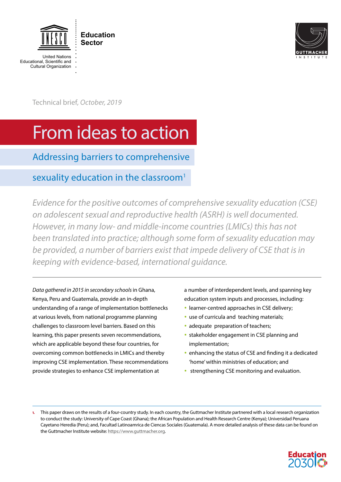

**Education Sector**

United Nations Educational, Scientific and Cultural Organization



Technical brief*, October, 2019*

# From ideas to action

Addressing barriers to comprehensive

# sexuality education in the classroom<sup>1</sup>

*Evidence for the positive outcomes of comprehensive sexuality education (CSE) on adolescent sexual and reproductive health (ASRH) is well documented. However, in many low- and middle-income countries (LMICs) this has not been translated into practice; although some form of sexuality education may be provided, a number of barriers exist that impede delivery of CSE that is in keeping with evidence-based, international guidance.*

*Data gathered in 2015 in secondary schools* in Ghana, Kenya, Peru and Guatemala, provide an in-depth understanding of a range of implementation bottlenecks at various levels, from national programme planning challenges to classroom level barriers. Based on this learning, this paper presents seven recommendations, which are applicable beyond these four countries, for overcoming common bottlenecks in LMICs and thereby improving CSE implementation. These recommendations provide strategies to enhance CSE implementation at

a number of interdependent levels, and spanning key education system inputs and processes, including:

- learner-centred approaches in CSE delivery;
- use of curricula and teaching materials;
- adequate preparation of teachers;
- stakeholder engagement in CSE planning and implementation;
- enhancing the status of CSE and finding it a dedicated 'home' within ministries of education; and
- strengthening CSE monitoring and evaluation.

<sup>1.</sup> This paper draws on the results of a four-country study. In each country, the Guttmacher Institute partnered with a local research organization to conduct the study: University of Cape Coast (Ghana); the African Population and Health Research Centre (Kenya); Universidad Peruana Cayetano Heredia (Peru); and, Facultad Latinoamrica de Ciencas Sociales (Guatemala). A more detailed analysis of these data can be found on the Guttmacher Institute website: [https://www.guttmacher.org.](https://www.guttmacher.org) 

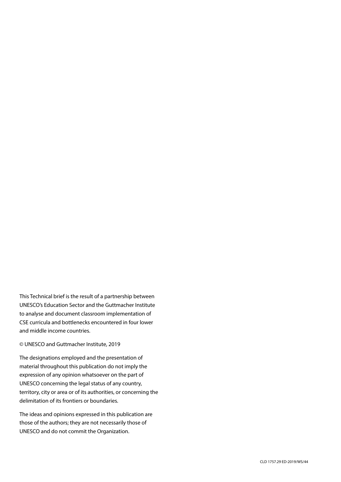This Technical brief is the result of a partnership between UNESCO's Education Sector and the Guttmacher Institute to analyse and document classroom implementation of CSE curricula and bottlenecks encountered in four lower and middle income countries.

# © UNESCO and Guttmacher Institute, 2019

The designations employed and the presentation of material throughout this publication do not imply the expression of any opinion whatsoever on the part of UNESCO concerning the legal status of any country, territory, city or area or of its authorities, or concerning the delimitation of its frontiers or boundaries.

The ideas and opinions expressed in this publication are those of the authors; they are not necessarily those of UNESCO and do not commit the Organization.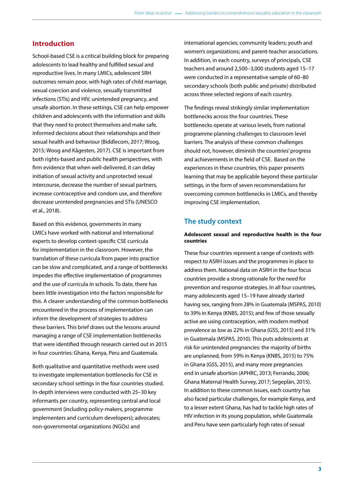# **Introduction**

School-based CSE is a critical building block for preparing adolescents to lead healthy and fulfilled sexual and reproductive lives. In many LMICs, adolescent SRH outcomes remain poor, with high rates of child marriage, sexual coercion and violence, sexually transmitted infections (STIs) and HIV, unintended pregnancy, and unsafe abortion. In these settings, CSE can help empower children and adolescents with the information and skills that they need to protect themselves and make safe, informed decisions about their relationships and their sexual health and behaviour (Biddlecom, 2017; Woog, 2015; Woog and Kågesten, 2017). CSE is important from both rights-based and public health perspectives, with firm evidence that when well-delivered, it can delay initiation of sexual activity and unprotected sexual intercourse, decrease the number of sexual partners, increase contraceptive and condom use, and therefore decrease unintended pregnancies and STIs (UNESCO et al., 2018).

Based on this evidence, governments in many LMICs have worked with national and international experts to develop context-specific CSE curricula for implementation in the classroom. However, the translation of these curricula from paper into practice can be slow and complicated, and a range of bottlenecks impedes the effective implementation of programmes and the use of curricula in schools. To date, there has been little investigation into the factors responsible for this. A clearer understanding of the common bottlenecks encountered in the process of implementation can inform the development of strategies to address these barriers. This brief draws out the lessons around managing a range of CSE implementation bottlenecks that were identified through research carried out in 2015 in four countries: Ghana, Kenya, Peru and Guatemala.

Both qualitative and quantitative methods were used to investigate implementation bottlenecks for CSE in secondary school settings in the four countries studied. In-depth interviews were conducted with 25–30 key informants per country, representing central and local government (including policy-makers, programme implementers and curriculum developers); advocates; non-governmental organizations (NGOs) and

international agencies; community leaders; youth and women's organizations; and parent-teacher associations. In addition, in each country, surveys of principals, CSE teachers and around 2,500–3,000 students aged 15–17 were conducted in a representative sample of 60–80 secondary schools (both public and private) distributed across three selected regions of each country.

The findings reveal strikingly similar implementation bottlenecks across the four countries. These bottlenecks operate at various levels, from national programme planning challenges to classroom level barriers. The analysis of these common challenges should not, however, diminish the countries' progress and achievements in the field of CSE. Based on the experiences in these countries, this paper presents learning that may be applicable beyond these particular settings, in the form of seven recommendations for overcoming common bottlenecks in LMICs, and thereby improving CSE implementation.

# **The study context**

# **Adolescent sexual and reproductive health in the four countries**

These four countries represent a range of contexts with respect to ASRH issues and the programmes in place to address them. National data on ASRH in the four focus countries provide a strong rationale for the need for prevention and response strategies. In all four countries, many adolescents aged 15–19 have already started having sex, ranging from 28% in Guatemala (MSPAS, 2010) to 39% in Kenya (KNBS, 2015); and few of those sexually active are using contraception, with modern method prevalence as low as 22% in Ghana (GSS, 2015) and 31% in Guatemala (MSPAS, 2010). This puts adolescents at risk for unintended pregnancies: the majority of births are unplanned, from 59% in Kenya (KNBS, 2015) to 75% in Ghana (GSS, 2015), and many more pregnancies end in unsafe abortion (APHRC, 2013; Ferrando, 2006; Ghana Maternal Health Survey, 2017; Segeplán, 2015). In addition to these common issues, each country has also faced particular challenges, for example Kenya, and to a lesser extent Ghana, has had to tackle high rates of HIV infection in its young population, while Guatemala and Peru have seen particularly high rates of sexual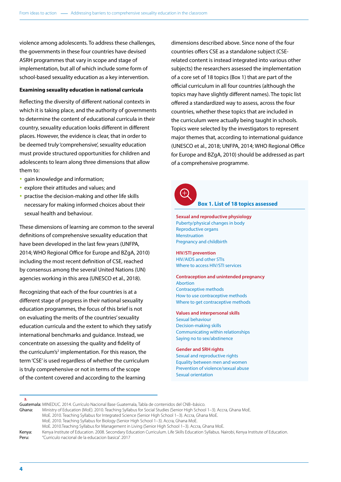violence among adolescents. To address these challenges, the governments in these four countries have devised ASRH programmes that vary in scope and stage of implementation, but all of which include some form of school-based sexuality education as a key intervention.

#### **Examining sexuality education in national curricula**

Reflecting the diversity of different national contexts in which it is taking place, and the authority of governments to determine the content of educational curricula in their country, sexuality education looks different in different places. However, the evidence is clear, that in order to be deemed truly 'comprehensive', sexuality education must provide structured opportunities for children and adolescents to learn along three dimensions that allow them to:

- gain knowledge and information;
- explore their attitudes and values; and
- practise the decision-making and other life skills necessary for making informed choices about their sexual health and behaviour.

These dimensions of learning are common to the several definitions of comprehensive sexuality education that have been developed in the last few years (UNFPA, 2014; WHO Regional Office for Europe and BZgA, 2010) including the most recent definition of CSE, reached by consensus among the several United Nations (UN) agencies working in this area (UNESCO et al., 2018).

Recognizing that each of the four countries is at a different stage of progress in their national sexuality education programmes, the focus of this brief is not on evaluating the merits of the countries' sexuality education curricula and the extent to which they satisfy international benchmarks and guidance. Instead, we concentrate on assessing the quality and fidelity of the curriculum's<sup>2</sup> implementation. For this reason, the term 'CSE' is used regardless of whether the curriculum is truly comprehensive or not in terms of the scope of the content covered and according to the learning

dimensions described above. Since none of the four countries offers CSE as a standalone subject (CSErelated content is instead integrated into various other subjects) the researchers assessed the implementation of a core set of 18 topics (Box 1) that are part of the official curriculum in all four countries (although the topics may have slightly different names). The topic list offered a standardized way to assess, across the four countries, whether these topics that are included in the curriculum were actually being taught in schools. Topics were selected by the investigators to represent major themes that, according to international guidance (UNESCO et al., 2018; UNFPA, 2014; WHO Regional Office for Europe and BZgA, 2010) should be addressed as part of a comprehensive programme.

8

# **Box 1. List of 18 topics assessed**

**Sexual and reproductive physiology** Puberty/physical changes in body Reproductive organs Menstruation Pregnancy and childbirth

# **HIV/STI prevention**

HIV/AIDS and other STIs Where to access HIV/STI services

**Contraception and unintended pregnancy** Abortion Contraceptive methods How to use contraceptive methods

Where to get contraceptive methods

#### **Values and interpersonal skills**

Sexual behaviour Decision-making skills Communicating within relationships Saying no to sex/abstinence

#### **Gender and SRH rights**

Sexual and reproductive rights Equality between men and women Prevention of violence/sexual abuse Sexual orientation

2.

Guatemala: MINEDUC. 2014. Currículo Nacional Base Guatemala, Tabla de contenidos del CNB–básico. Ghana: Ministry of Education (MoE). 2010. Teaching Syllabus for Social Studies (Senior High School 1–3). Accra, Ghana MoE. MoE. 2010. Teaching Syllabus for Integrated Science (Senior High School 1–3). Accra, Ghana MoE. MoE. 2010. Teaching Syllabus for Biology (Senior High School 1–3). Accra, Ghana MoE. MoE. 2010.Teaching Syllabus for Management in Living (Senior High School 1–3). Accra, Ghana MoE. Kenya: Kenya Institute of Education. 2008. Secondary Education Curriculum. Life Skills Education Syllabus. Nairobi, Kenya Institute of Education. Peru: "Curriculo nacional de la educacion basica". 2017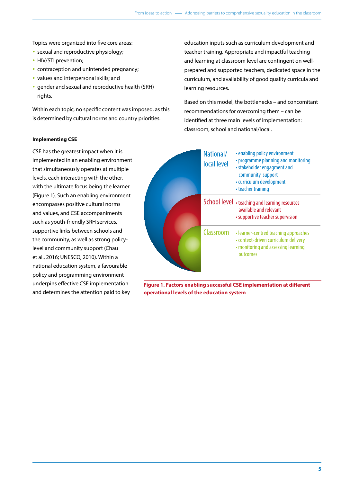Topics were organized into five core areas:

- sexual and reproductive physiology;
- HIV/STI prevention;
- contraception and unintended pregnancy;
- values and interpersonal skills; and
- gender and sexual and reproductive health (SRH) rights.

Within each topic, no specific content was imposed, as this is determined by cultural norms and country priorities.

# **Implementing CSE**

CSE has the greatest impact when it is implemented in an enabling environment that simultaneously operates at multiple levels, each interacting with the other, with the ultimate focus being the learner (Figure 1). Such an enabling environment encompasses positive cultural norms and values, and CSE accompaniments such as youth-friendly SRH services, supportive links between schools and the community, as well as strong policylevel and community support (Chau et al., 2016; UNESCO, 2010). Within a national education system, a favourable policy and programming environment underpins effective CSE implementation and determines the attention paid to key

education inputs such as curriculum development and teacher training. Appropriate and impactful teaching and learning at classroom level are contingent on wellprepared and supported teachers, dedicated space in the curriculum, and availability of good quality curricula and learning resources.

Based on this model, the bottlenecks – and concomitant recommendations for overcoming them – can be identified at three main levels of implementation: classroom, school and national/local.

|  | National/<br>local level | • enabling policy environment<br>• programme planning and monitoring<br>• stakeholder engagment and<br>community support<br>• curriculum development<br>• teacher training |
|--|--------------------------|----------------------------------------------------------------------------------------------------------------------------------------------------------------------------|
|  |                          | School level • teaching and learning resources<br>available and relevant<br>• supportive teacher supervision                                                               |
|  | Classroom                | • learner-centred teaching approaches<br>· context-driven curriculum delivery<br>• monitoring and assessing learning<br>outcomes                                           |

**Figure 1. Factors enabling successful CSE implementation at different operational levels of the education system**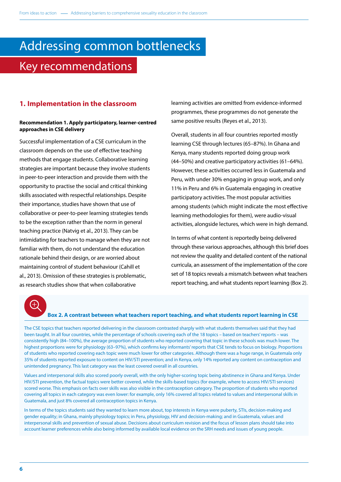# Addressing common bottlenecks Key recommendations

# **1. Implementation in the classroom**

# **Recommendation 1. Apply participatory, learner-centred approaches in CSE delivery**

Successful implementation of a CSE curriculum in the classroom depends on the use of effective teaching methods that engage students. Collaborative learning strategies are important because they involve students in peer-to-peer interaction and provide them with the opportunity to practise the social and critical thinking skills associated with respectful relationships. Despite their importance, studies have shown that use of collaborative or peer-to-peer learning strategies tends to be the exception rather than the norm in general teaching practice (Natvig et al., 2013). They can be intimidating for teachers to manage when they are not familiar with them, do not understand the education rationale behind their design, or are worried about maintaining control of student behaviour (Cahill et al., 2013). Omission of these strategies is problematic, as research studies show that when collaborative

learning activities are omitted from evidence-informed programmes, these programmes do not generate the same positive results (Reyes et al., 2013).

Overall, students in all four countries reported mostly learning CSE through lectures (65–87%). In Ghana and Kenya, many students reported doing group work (44–50%) and creative participatory activities (61–64%). However, these activities occurred less in Guatemala and Peru, with under 30% engaging in group work, and only 11% in Peru and 6% in Guatemala engaging in creative participatory activities. The most popular activities among students (which might indicate the most effective learning methodologies for them), were audio-visual activities, alongside lectures, which were in high demand.

In terms of what content is reportedly being delivered through these various approaches, although this brief does not review the quality and detailed content of the national curricula, an assessment of the implementation of the core set of 18 topics reveals a mismatch between what teachers report teaching, and what students report learning (Box 2).

#### **Box 2. A contrast between what teachers report teaching, and what students report learning in CSE**

The CSE topics that teachers reported delivering in the classroom contrasted sharply with what students themselves said that they had been taught. In all four countries, while the percentage of schools covering each of the 18 topics – based on teachers' reports – was consistently high (84–100%), the average proportion of students who reported covering that topic in these schools was much lower. The highest proportions were for physiology (63–97%), which confirms key informants' reports that CSE tends to focus on biology. Proportions of students who reported covering each topic were much lower for other categories. Although there was a huge range, in Guatemala only 35% of students reported exposure to content on HIV/STI prevention; and in Kenya, only 14% reported any content on contraception and unintended pregnancy. This last category was the least covered overall in all countries.

Values and interpersonal skills also scored poorly overall, with the only higher-scoring topic being abstinence in Ghana and Kenya. Under HIV/STI prevention, the factual topics were better covered, while the skills-based topics (for example, where to access HIV/STI services) scored worse. This emphasis on facts over skills was also visible in the contraception category. The proportion of students who reported covering all topics in each category was even lower: for example, only 16% covered all topics related to values and interpersonal skills in Guatemala, and just 8% covered all contraception topics in Kenya.

In terms of the topics students said they wanted to learn more about, top interests in Kenya were puberty, STIs, decision-making and gender equality; in Ghana, mainly physiology topics; in Peru, physiology, HIV and decision-making; and in Guatemala, values and interpersonal skills and prevention of sexual abuse. Decisions about curriculum revision and the focus of lesson plans should take into account learner preferences while also being informed by available local evidence on the SRH needs and issues of young people.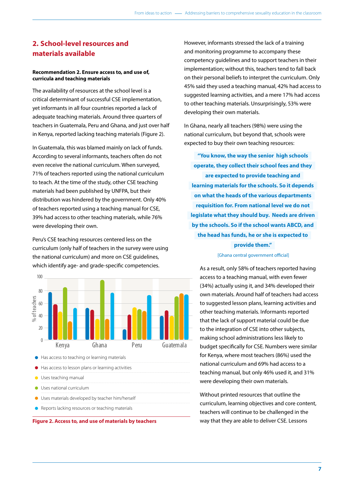# **2. School-level resources and materials available**

# **Recommendation 2. Ensure access to, and use of, curricula and teaching materials**

The availability of resources at the school level is a critical determinant of successful CSE implementation, yet informants in all four countries reported a lack of adequate teaching materials. Around three quarters of teachers in Guatemala, Peru and Ghana, and just over half in Kenya, reported lacking teaching materials (Figure 2).

In Guatemala, this was blamed mainly on lack of funds. According to several informants, teachers often do not even receive the national curriculum. When surveyed, 71% of teachers reported using the national curriculum to teach. At the time of the study, other CSE teaching materials had been published by UNFPA, but their distribution was hindered by the government. Only 40% of teachers reported using a teaching manual for CSE, 39% had access to other teaching materials, while 76% were developing their own.

Peru's CSE teaching resources centered less on the curriculum (only half of teachers in the survey were using the national curriculum) and more on CSE guidelines, which identify age- and grade-specific competencies.



 $\bullet$  Has access to teaching or learning materials

- Has access to lesson plans or learning activities
- **Uses teaching manual**
- Uses national curriculum
- Uses materials developed by teacher him/herself
- Reports lacking resources or teaching materials



However, informants stressed the lack of a training and monitoring programme to accompany these competency guidelines and to support teachers in their implementation; without this, teachers tend to fall back on their personal beliefs to interpret the curriculum. Only 45% said they used a teaching manual, 42% had access to suggested learning activities, and a mere 17% had access to other teaching materials. Unsurprisingly, 53% were developing their own materials.

In Ghana, nearly all teachers (98%) were using the national curriculum, but beyond that, schools were expected to buy their own teaching resources:

**"You know, the way the senior high schools operate, they collect their school fees and they are expected to provide teaching and learning materials for the schools. So it depends on what the heads of the various departments requisition for. From national level we do not legislate what they should buy. Needs are driven by the schools. So if the school wants ABCD, and the head has funds, he or she is expected to provide them."**

### [Ghana central government official]

As a result, only 58% of teachers reported having access to a teaching manual, with even fewer (34%) actually using it, and 34% developed their own materials. Around half of teachers had access to suggested lesson plans, learning activities and other teaching materials. Informants reported that the lack of support material could be due to the integration of CSE into other subjects, making school administrations less likely to budget specifically for CSE. Numbers were similar for Kenya, where most teachers (86%) used the national curriculum and 69% had access to a teaching manual, but only 46% used it, and 31% were developing their own materials.

Without printed resources that outline the curriculum, learning objectives and core content, teachers will continue to be challenged in the way that they are able to deliver CSE. Lessons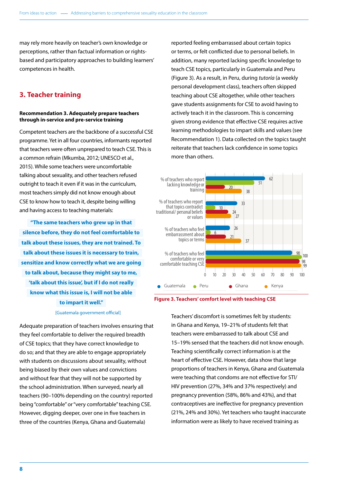may rely more heavily on teacher's own knowledge or perceptions, rather than factual information or rightsbased and participatory approaches to building learners' competences in health.

# **3. Teacher training**

# **Recommendation 3. Adequately prepare teachers through in-service and pre-service training**

Competent teachers are the backbone of a successful CSE programme. Yet in all four countries, informants reported that teachers were often unprepared to teach CSE. This is a common refrain (Mkumba, 2012; UNESCO et al., 2015). While some teachers were uncomfortable talking about sexuality, and other teachers refused outright to teach it even if it was in the curriculum, most teachers simply did not know enough about CSE to know how to teach it, despite being willing and having access to teaching materials:

**"The same teachers who grew up in that silence before, they do not feel comfortable to talk about these issues, they are not trained. To talk about these issues it is necessary to train, sensitize and know correctly what we are going to talk about, because they might say to me, 'talk about this issue', but if I do not really know what this issue is, I will not be able to impart it well."** 

[Guatemala government official]

Adequate preparation of teachers involves ensuring that they feel comfortable to deliver the required breadth of CSE topics; that they have correct knowledge to do so; and that they are able to engage appropriately with students on discussions about sexuality, without being biased by their own values and convictions and without fear that they will not be supported by the school administration. When surveyed, nearly all teachers (90–100% depending on the country) reported being "comfortable" or "very comfortable" teaching CSE. However, digging deeper, over one in five teachers in three of the countries (Kenya, Ghana and Guatemala)

reported feeling embarrassed about certain topics or terms, or felt conflicted due to personal beliefs. In addition, many reported lacking specific knowledge to teach CSE topics, particularly in Guatemala and Peru (Figure 3). As a result, in Peru, during *tutoría* (a weekly personal development class), teachers often skipped teaching about CSE altogether, while other teachers gave students assignments for CSE to avoid having to actively teach it in the classroom. This is concerning given strong evidence that effective CSE requires active learning methodologies to impart skills and values (see Recommendation 1). Data collected on the topics taught reiterate that teachers lack confidence in some topics more than others.





Teachers' discomfort is sometimes felt by students: in Ghana and Kenya, 19–21% of students felt that teachers were embarrassed to talk about CSE and 15–19% sensed that the teachers did not know enough. Teaching scientifically correct information is at the heart of effective CSE. However, data show that large proportions of teachers in Kenya, Ghana and Guatemala were teaching that condoms are not effective for STI/ HIV prevention (27%, 34% and 37% respectively) and pregnancy prevention (58%, 86% and 43%), and that contraceptives are ineffective for pregnancy prevention (21%, 24% and 30%). Yet teachers who taught inaccurate information were as likely to have received training as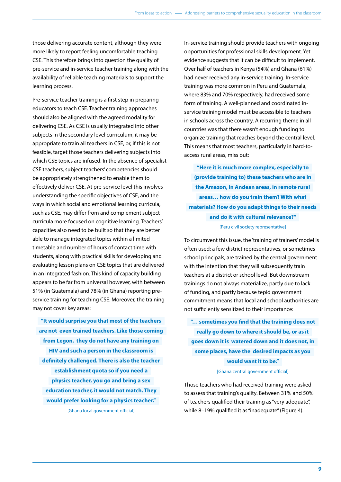those delivering accurate content, although they were more likely to report feeling uncomfortable teaching CSE. This therefore brings into question the quality of pre-service and in-service teacher training along with the availability of reliable teaching materials to support the learning process.

Pre-service teacher training is a first step in preparing educators to teach CSE. Teacher training approaches should also be aligned with the agreed modality for delivering CSE. As CSE is usually integrated into other subjects in the secondary level curriculum, it may be appropriate to train all teachers in CSE, or, if this is not feasible, target those teachers delivering subjects into which CSE topics are infused. In the absence of specialist CSE teachers, subject teachers' competencies should be appropriately strengthened to enable them to effectively deliver CSE. At pre-service level this involves understanding the specific objectives of CSE, and the ways in which social and emotional learning curricula, such as CSE, may differ from and complement subject curricula more focused on cognitive learning. Teachers' capacities also need to be built so that they are better able to manage integrated topics within a limited timetable and number of hours of contact time with students, along with practical skills for developing and evaluating lesson plans on CSE topics that are delivered in an integrated fashion. This kind of capacity building appears to be far from universal however, with between 51% (in Guatemala) and 78% (in Ghana) reporting preservice training for teaching CSE. Moreover, the training may not cover key areas:

**"It would surprise you that most of the teachers are not even trained teachers. Like those coming from Legon, they do not have any training on HIV and such a person in the classroom is definitely challenged. There is also the teacher establishment quota so if you need a physics teacher, you go and bring a sex education teacher, it would not match. They would prefer looking for a physics teacher."**  [Ghana local government official]

In-service training should provide teachers with ongoing opportunities for professional skills development. Yet evidence suggests that it can be difficult to implement. Over half of teachers in Kenya (54%) and Ghana (61%) had never received any in-service training. In-service training was more common in Peru and Guatemala, where 83% and 70% respectively, had received some form of training. A well-planned and coordinated inservice training model must be accessible to teachers in schools across the country. A recurring theme in all countries was that there wasn't enough funding to organize training that reaches beyond the central level. This means that most teachers, particularly in hard-toaccess rural areas, miss out:

**"Here it is much more complex, especially to (provide training to) these teachers who are in the Amazon, in Andean areas, in remote rural areas… how do you train them? With what materials? How do you adapt things to their needs and do it with cultural relevance?"**  [Peru civil society representative]

To circumvent this issue, the 'training of trainers' model is often used: a few district representatives, or sometimes school principals, are trained by the central government with the intention that they will subsequently train teachers at a district or school level. But downstream trainings do not always materialize, partly due to lack of funding, and partly because tepid government commitment means that local and school authorities are not sufficiently sensitized to their importance:

**"… sometimes you find that the training does not really go down to where it should be, or as it goes down it is watered down and it does not, in some places, have the desired impacts as you would want it to be."** 

#### [Ghana central government official]

Those teachers who had received training were asked to assess that training's quality. Between 31% and 50% of teachers qualified their training as "very adequate", while 8–19% qualified it as "inadequate" (Figure 4).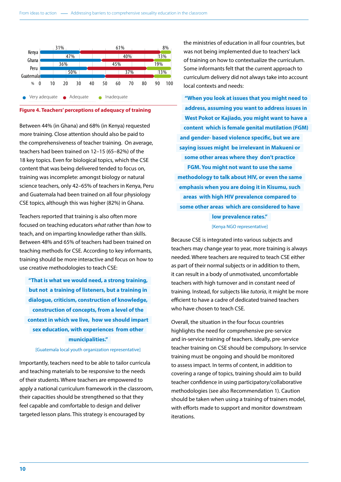

# **Figure 4. Teachers' perceptions of adequacy of training**

Between 44% (in Ghana) and 68% (in Kenya) requested more training. Close attention should also be paid to the comprehensiveness of teacher training. On average, teachers had been trained on 12–15 (65–82%) of the 18 key topics. Even for biological topics, which the CSE content that was being delivered tended to focus on, training was incomplete: amongst biology or natural science teachers, only 42–65% of teachers in Kenya, Peru and Guatemala had been trained on all four physiology CSE topics, although this was higher (82%) in Ghana.

Teachers reported that training is also often more focused on teaching educators *what* rather than *how* to teach, and on imparting knowledge rather than skills. Between 48% and 65% of teachers had been trained on teaching methods for CSE. According to key informants, training should be more interactive and focus on how to use creative methodologies to teach CSE:

**"That is what we would need, a strong training, but not a training of listeners, but a training in dialogue, criticism, construction of knowledge, construction of concepts, from a level of the context in which we live, how we should impart sex education, with experiences from other municipalities."** 

#### [Guatemala local youth organization representative]

Importantly, teachers need to be able to tailor curricula and teaching materials to be responsive to the needs of their students. Where teachers are empowered to apply a national curriculum framework in the classroom, their capacities should be strengthened so that they feel capable and comfortable to design and deliver targeted lesson plans. This strategy is encouraged by

the ministries of education in all four countries, but was not being implemented due to teachers' lack of training on how to contextualize the curriculum. Some informants felt that the current approach to curriculum delivery did not always take into account local contexts and needs:

**"When you look at issues that you might need to address, assuming you want to address issues in West Pokot or Kajiado, you might want to have a content which is female genital mutilation (FGM) and gender- based violence specific, but we are saying issues might be irrelevant in Makueni or some other areas where they don't practice FGM. You might not want to use the same methodology to talk about HIV, or even the same emphasis when you are doing it in Kisumu, such areas with high HIV prevalence compared to some other areas which are considered to have low prevalence rates."**

#### [Kenya NGO representative]

Because CSE is integrated into various subjects and teachers may change year to year, more training is always needed. Where teachers are required to teach CSE either as part of their normal subjects or in addition to them, it can result in a body of unmotivated, uncomfortable teachers with high turnover and in constant need of training. Instead, for subjects like *tutoría*, it might be more efficient to have a cadre of dedicated trained teachers who have chosen to teach CSE.

Overall, the situation in the four focus countries highlights the need for comprehensive pre-service and in-service training of teachers. Ideally, pre-service teacher training on CSE should be compulsory. In-service training must be ongoing and should be monitored to assess impact. In terms of content, in addition to covering a range of topics, training should aim to build teacher confidence in using participatory/collaborative methodologies (see also Recommendation 1). Caution should be taken when using a training of trainers model, with efforts made to support and monitor downstream iterations.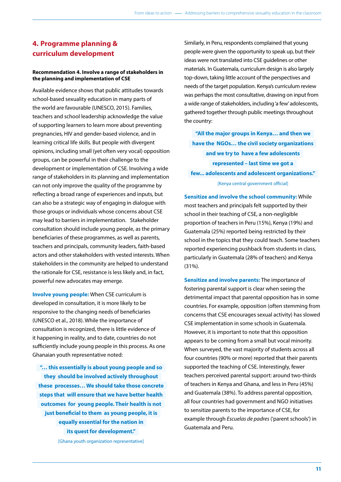# **4. Programme planning & curriculum development**

# **Recommendation 4. Involve a range of stakeholders in the planning and implementation of CSE**

Available evidence shows that public attitudes towards school-based sexuality education in many parts of the world are favourable (UNESCO, 2015). Families, teachers and school leadership acknowledge the value of supporting learners to learn more about preventing pregnancies, HIV and gender-based violence, and in learning critical life skills. But people with divergent opinions, including small (yet often very vocal) opposition groups, can be powerful in their challenge to the development or implementation of CSE. Involving a wide range of stakeholders in its planning and implementation can not only improve the quality of the programme by reflecting a broad range of experiences and inputs, but can also be a strategic way of engaging in dialogue with those groups or individuals whose concerns about CSE may lead to barriers in implementation. Stakeholder consultation should include young people, as the primary beneficiaries of these programmes, as well as parents, teachers and principals, community leaders, faith-based actors and other stakeholders with vested interests. When stakeholders in the community are helped to understand the rationale for CSE, resistance is less likely and, in fact, powerful new advocates may emerge.

**Involve young people:** When CSE curriculum is developed in consultation, it is more likely to be responsive to the changing needs of beneficiaries (UNESCO et al., 2018). While the importance of consultation is recognized, there is little evidence of it happening in reality, and to date, countries do not sufficiently include young people in this process. As one Ghanaian youth representative noted:

**"… this essentially is about young people and so they should be involved actively throughout these processes… We should take those concrete steps that will ensure that we have better health outcomes for young people. Their health is not just beneficial to them as young people, it is equally essential for the nation in its quest for development."** 

[Ghana youth organization representative]

Similarly, in Peru, respondents complained that young people were given the opportunity to speak up, but their ideas were not translated into CSE guidelines or other materials. In Guatemala, curriculum design is also largely top-down, taking little account of the perspectives and needs of the target population. Kenya's curriculum review was perhaps the most consultative, drawing on input from a wide range of stakeholders, including 'a few' adolescents, gathered together through public meetings throughout the country:

**"All the major groups in Kenya… and then we have the NGOs… the civil society organizations and we try to have a few adolescents represented – last time we got a few... adolescents and adolescent organizations."**  [Kenya central government official]

**Sensitize and involve the school community:** While most teachers and principals felt supported by their school in their teaching of CSE, a non-negligible proportion of teachers in Peru (15%), Kenya (19%) and Guatemala (25%) reported being restricted by their school in the topics that they could teach. Some teachers reported experiencing pushback from students in class, particularly in Guatemala (28% of teachers) and Kenya (31%).

**Sensitize and involve parents:** The importance of fostering parental support is clear when seeing the detrimental impact that parental opposition has in some countries. For example, opposition (often stemming from concerns that CSE encourages sexual activity) has slowed CSE implementation in some schools in Guatemala. However, it is important to note that this opposition appears to be coming from a small but vocal minority. When surveyed, the vast majority of students across all four countries (90% or more) reported that their parents supported the teaching of CSE. Interestingly, fewer teachers perceived parental support: around two-thirds of teachers in Kenya and Ghana, and less in Peru (45%) and Guatemala (38%). To address parental opposition, all four countries had government and NGO initiatives to sensitize parents to the importance of CSE, for example through *Escuelas de padres* ('parent schools') in Guatemala and Peru.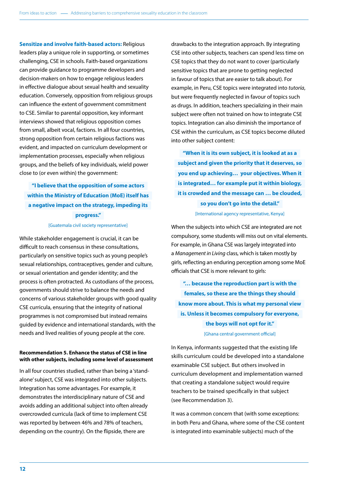**Sensitize and involve faith-based actors:** Religious leaders play a unique role in supporting, or sometimes challenging, CSE in schools. Faith-based organizations can provide guidance to programme developers and decision-makers on how to engage religious leaders in effective dialogue about sexual health and sexuality education. Conversely, opposition from religious groups can influence the extent of government commitment to CSE. Similar to parental opposition, key informant interviews showed that religious opposition comes from small, albeit vocal, factions. In all four countries, strong opposition from certain religious factions was evident, and impacted on curriculum development or implementation processes, especially when religious groups, and the beliefs of key individuals, wield power close to (or even within) the government:

# **"I believe that the opposition of some actors within the Ministry of Education (MoE) itself has a negative impact on the strategy, impeding its progress."**

#### [Guatemala civil society representative]

While stakeholder engagement is crucial, it can be difficult to reach consensus in these consultations, particularly on sensitive topics such as young people's sexual relationships, contraceptives, gender and culture, or sexual orientation and gender identity; and the process is often protracted. As custodians of the process, governments should strive to balance the needs and concerns of various stakeholder groups with good quality CSE curricula, ensuring that the integrity of national programmes is not compromised but instead remains guided by evidence and international standards, with the needs and lived realities of young people at the core.

## **Recommendation 5. Enhance the status of CSE in line with other subjects, including some level of assessment**

In all four countries studied, rather than being a 'standalone' subject, CSE was integrated into other subjects. Integration has some advantages. For example, it demonstrates the interdisciplinary nature of CSE and avoids adding an additional subject into often already overcrowded curricula (lack of time to implement CSE was reported by between 46% and 78% of teachers, depending on the country). On the flipside, there are

drawbacks to the integration approach. By integrating CSE into other subjects, teachers can spend less time on CSE topics that they do not want to cover (particularly sensitive topics that are prone to getting neglected in favour of topics that are easier to talk about). For example, in Peru, CSE topics were integrated into *tutoría*, but were frequently neglected in favour of topics such as drugs. In addition, teachers specializing in their main subject were often not trained on how to integrate CSE topics. Integration can also diminish the importance of CSE within the curriculum, as CSE topics become diluted into other subject content:

**"When it is its own subject, it is looked at as a subject and given the priority that it deserves, so you end up achieving… your objectives. When it is integrated… for example put it within biology, it is crowded and the message can … be clouded, so you don't go into the detail."**  [International agency representative, Kenya]

When the subjects into which CSE are integrated are not compulsory, some students will miss out on vital elements. For example, in Ghana CSE was largely integrated into a *Management in Living* class, which is taken mostly by girls, reflecting an enduring perception among some MoE officials that CSE is more relevant to girls:

**"… because the reproduction part is with the females, so these are the things they should know more about. This is what my personal view is. Unless it becomes compulsory for everyone, the boys will not opt for it."** 

[Ghana central government official]

In Kenya, informants suggested that the existing life skills curriculum could be developed into a standalone examinable CSE subject. But others involved in curriculum development and implementation warned that creating a standalone subject would require teachers to be trained specifically in that subject (see Recommendation 3).

It was a common concern that (with some exceptions: in both Peru and Ghana, where some of the CSE content is integrated into examinable subjects) much of the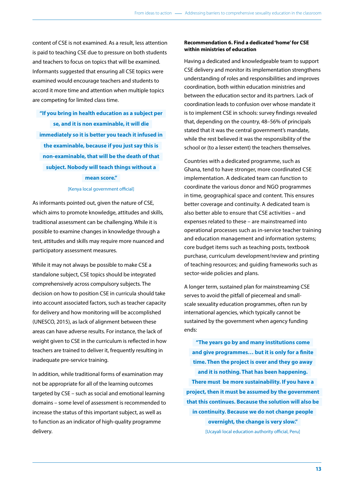content of CSE is not examined. As a result, less attention is paid to teaching CSE due to pressure on both students and teachers to focus on topics that will be examined. Informants suggested that ensuring all CSE topics were examined would encourage teachers and students to accord it more time and attention when multiple topics are competing for limited class time.

**"If you bring in health education as a subject per se, and it is non examinable, it will die immediately so it is better you teach it infused in the examinable, because if you just say this is non-examinable, that will be the death of that subject. Nobody will teach things without a mean score."** 

#### [Kenya local government official]

As informants pointed out, given the nature of CSE, which aims to promote knowledge, attitudes and skills, traditional assessment can be challenging. While it is possible to examine changes in knowledge through a test, attitudes and skills may require more nuanced and participatory assessment measures.

While it may not always be possible to make CSE a standalone subject, CSE topics should be integrated comprehensively across compulsory subjects. The decision on how to position CSE in curricula should take into account associated factors, such as teacher capacity for delivery and how monitoring will be accomplished (UNESCO, 2015), as lack of alignment between these areas can have adverse results. For instance, the lack of weight given to CSE in the curriculum is reflected in how teachers are trained to deliver it, frequently resulting in inadequate pre-service training.

In addition, while traditional forms of examination may not be appropriate for all of the learning outcomes targeted by CSE – such as social and emotional learning domains – some level of assessment is recommended to increase the status of this important subject, as well as to function as an indicator of high-quality programme delivery.

# **Recommendation 6. Find a dedicated 'home' for CSE within ministries of education**

Having a dedicated and knowledgeable team to support CSE delivery and monitor its implementation strengthens understanding of roles and responsibilities and improves coordination, both within education ministries and between the education sector and its partners. Lack of coordination leads to confusion over whose mandate it is to implement CSE in schools: survey findings revealed that, depending on the country, 48–56% of principals stated that it was the central government's mandate, while the rest believed it was the responsibility of the school or (to a lesser extent) the teachers themselves.

Countries with a dedicated programme, such as Ghana, tend to have stronger, more coordinated CSE implementation. A dedicated team can function to coordinate the various donor and NGO programmes in time, geographical space and content. This ensures better coverage and continuity. A dedicated team is also better able to ensure that CSE activities – and expenses related to these – are mainstreamed into operational processes such as in-service teacher training and education management and information systems; core budget items such as teaching posts, textbook purchase, curriculum development/review and printing of teaching resources; and guiding frameworks such as sector-wide policies and plans.

A longer term, sustained plan for mainstreaming CSE serves to avoid the pitfall of piecemeal and smallscale sexuality education programmes, often run by international agencies, which typically cannot be sustained by the government when agency funding ends:

**"The years go by and many institutions come and give programmes… but it is only for a finite time. Then the project is over and they go away and it is nothing. That has been happening. There must be more sustainability. If you have a project, then it must be assumed by the government that this continues. Because the solution will also be in continuity. Because we do not change people overnight, the change is very slow."** 

[Ucayali local education authority official, Peru]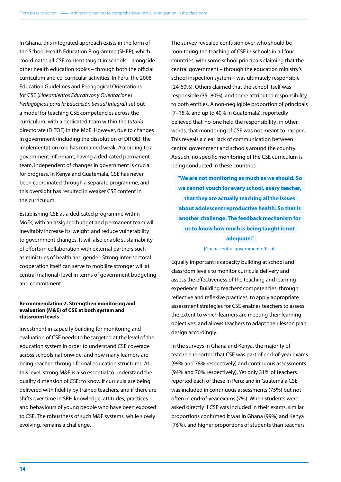In Ghana, this integrated approach exists in the form of the School Health Education Programme (SHEP), which coordinates all CSE content taught in schools – alongside other health education topics – through both the official curriculum and co-curricular activities. In Peru, the 2008 Education Guidelines and Pedagogical Orientations for CSE (*Lineamientos Educativos y Orientaciones Pedagógicas para la Educación Sexual Integral*) set out a model for teaching CSE competencies across the curriculum, with a dedicated team within the *tutoría* directorate (DITOE) in the MoE. However, due to changes in government (including the dissolution of DITOE), the implementation role has remained weak. According to a government informant, having a dedicated permanent team, independent of changes in government is crucial for progress. In Kenya and Guatemala, CSE has never been coordinated through a separate programme, and this oversight has resulted in weaker CSE content in the curriculum.

Establishing CSE as a dedicated programme within MoEs, with an assigned budget and permanent team will inevitably increase its 'weight' and reduce vulnerability to government changes. It will also enable sustainability of efforts in collaboration with external partners such as ministries of health and gender. Strong inter-sectoral cooperation itself can serve to mobilize stronger will at central (national) level in terms of government budgeting and commitment.

# **Recommendation 7. Strengthen monitoring and evaluation (M&E) of CSE at both system and classroom levels**

Investment in capacity building for monitoring and evaluation of CSE needs to be targeted at the level of the education system in order to understand CSE coverage across schools nationwide, and how many learners are being reached through formal education structures. At this level, strong M&E is also essential to understand the quality dimension of CSE: to know if curricula are being delivered with fidelity by trained teachers, and if there are shifts over time in SRH knowledge, attitudes, practices and behaviours of young people who have been exposed to CSE. The robustness of such M&E systems, while slowly evolving, remains a challenge.

The survey revealed confusion over who should be monitoring the teaching of CSE in schools in all four countries, with some school principals claiming that the central government – through the education ministry's school inspection system – was ultimately responsible (24-60%). Others claimed that the school itself was responsible (35–80%), and some attributed responsibility to both entities. A non-negligible proportion of principals (7–15%, and up to 40% in Guatemala), reportedly believed that 'no-one held the responsibility', in other words, that monitoring of CSE was not meant to happen. This reveals a clear lack of communication between central government and schools around the country. As such, no specific monitoring of the CSE curriculum is being conducted in these countries.

**"We are not monitoring as much as we should. So we cannot vouch for every school, every teacher, that they are actually teaching all the issues about adolescent reproductive health. So that is another challenge. The feedback mechanism for us to know how much is being taught is not adequate."** 

### [Ghana central government official]

Equally important is capacity building at school and classroom levels to monitor curricula delivery and assess the effectiveness of the teaching and learning experience. Building teachers' competencies, through reflective and reflexive practices, to apply appropriate assessment strategies for CSE enables teachers to assess the extent to which learners are meeting their learning objectives, and allows teachers to adapt their lesson plan design accordingly.

In the surveys in Ghana and Kenya, the majority of teachers reported that CSE was part of end-of-year exams (99% and 78% respectively) and continuous assessments (94% and 70% respectively). Yet only 31% of teachers reported each of these in Peru; and in Guatemala CSE was included in continuous assessments (75%) but not often in end-of-year exams (7%). When students were asked directly if CSE was included in their exams, similar proportions confirmed it was in Ghana (99%) and Kenya (76%), and higher proportions of students than teachers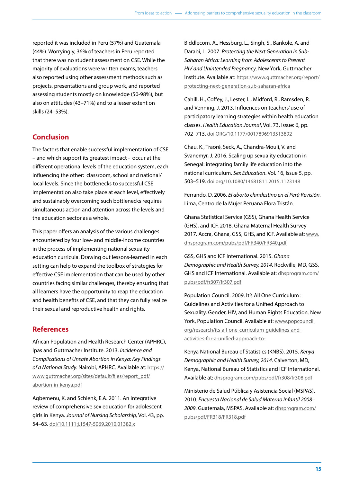reported it was included in Peru (57%) and Guatemala (44%). Worryingly, 36% of teachers in Peru reported that there was no student assessment on CSE. While the majority of evaluations were written exams, teachers also reported using other assessment methods such as projects, presentations and group work, and reported assessing students mostly on knowledge (50-98%), but also on attitudes (43–71%) and to a lesser extent on skills (24–53%).

# **Conclusion**

The factors that enable successful implementation of CSE – and which support its greatest impact - occur at the different operational levels of the education system, each influencing the other: classroom, school and national/ local levels. Since the bottlenecks to successful CSE implementation also take place at each level, effectively and sustainably overcoming such bottlenecks requires simultaneous action and attention across the levels and the education sector as a whole.

This paper offers an analysis of the various challenges encountered by four low- and middle-income countries in the process of implementing national sexuality education curricula. Drawing out lessons-learned in each setting can help to expand the toolbox of strategies for effective CSE implementation that can be used by other countries facing similar challenges, thereby ensuring that all learners have the opportunity to reap the education and health benefits of CSE, and that they can fully realize their sexual and reproductive health and rights.

# **References**

African Population and Health Research Center (APHRC), Ipas and Guttmacher Institute. 2013. *Incidence and Complications of Unsafe Abortion in Kenya: Key Findings of a National Study.* Nairobi, APHRC. Available at: [https://](https://www.guttmacher.org/sites/default/files/report_pdf/) [www.guttmacher.org/sites/default/files/report\\_pdf/](https://www.guttmacher.org/sites/default/files/report_pdf/) abortion-in-kenya.pdf

Agbemenu, K. and Schlenk, E.A. 2011. An integrative review of comprehensive sex education for adolescent girls in Kenya. *Journal of Nursing Scholarship,* Vol. 43, pp. 54–63. doi/10.1111:j.1547-5069.2010.01382.x

Biddlecom, A., Hessburg, L., Singh, S., Bankole, A. and Darabi, L. 2007. *Protecting the Next Generation in Sub-Saharan Africa: Learning from Adolescents to Prevent HIV and Unintended Pregnancy*. New York, Guttmacher Institute. Available at:<https://www.guttmacher.org/report/> protecting-next-generation-sub-saharan-africa

Cahill, H., Coffey, J., Lester, L., Midford, R., Ramsden, R. and Venning, J. 2013. Influences on teachers' use of participatory learning strategies within health education classes. *Health Education Journal*, Vol. 73, Issue: 6, pp. 702–713. doi.ORG/10.1177/0017896913513892

Chau, K., Traoré, Seck, A., Chandra-Mouli, V. and Svanemyr, J. 2016. Scaling up sexuality education in Senegal: integrating family life education into the national curriculum. *Sex Education*. Vol. 16, Issue 5, pp. 503–519. doi.org/10.1080/14681811.2015.1123148

Ferrando, D. 2006. *El aborto clandestino en el Perú Revisión.* Lima, Centro de la Mujer Peruana Flora Tristán.

Ghana Statistical Service (GSS), Ghana Health Service (GHS), and ICF. 2018. Ghana Maternal Health Survey 2017. Accra, Ghana, GSS, GHS, and ICF. Available at: [www.](http://www.dhsprogram.com/pubs/pdf/FR340/FR340.pdf) [dhsprogram.com/pubs/pdf/FR340/FR340.pdf](http://www.dhsprogram.com/pubs/pdf/FR340/FR340.pdf)

GSS, GHS and ICF International. 2015. *Ghana Demographic and Health Survey, 2014*. Rockville, MD, GSS, GHS and ICF International. Available at: dhsprogram.com/ pubs/pdf/fr307/fr307.pdf

Population Council. 2009. It's All One Curriculum : Guidelines and Activities for a Unified Approach to Sexuality, Gender, HIV, and Human Rights Education. New York, Population Council. Available at: [www.popcouncil.](http://www.popcouncil) org/research/its-all-one-curriculum-guidelines-andactivities-for-a-unified-approach-to-

Kenya National Bureau of Statistics (KNBS). 2015. *Kenya Demographic and Health Survey, 2014*. Calverton, MD, Kenya, National Bureau of Statistics and ICF International. Available at: dhsprogram.com/pubs/pdf/fr308/fr308.pdf

Ministerio de Salud Pública y Asistencia Social (MSPAS). 2010. *Encuesta Nacional de Salud Materno Infantil 2008– 2009*. Guatemala, MSPAS. Available at: dhsprogram.com/ pubs/pdf/FR318/FR318.pdf